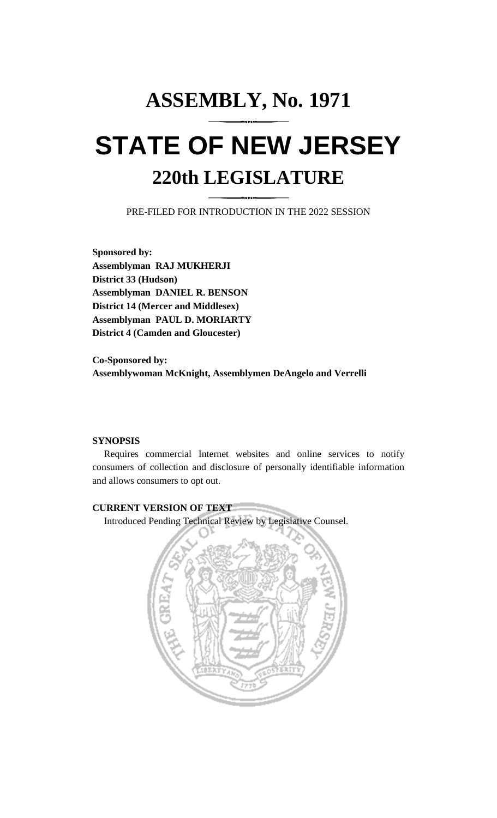# **ASSEMBLY, No. 1971 STATE OF NEW JERSEY 220th LEGISLATURE**

PRE-FILED FOR INTRODUCTION IN THE 2022 SESSION

**Sponsored by: Assemblyman RAJ MUKHERJI District 33 (Hudson) Assemblyman DANIEL R. BENSON District 14 (Mercer and Middlesex) Assemblyman PAUL D. MORIARTY District 4 (Camden and Gloucester)**

**Co-Sponsored by: Assemblywoman McKnight, Assemblymen DeAngelo and Verrelli**

# **SYNOPSIS**

Requires commercial Internet websites and online services to notify consumers of collection and disclosure of personally identifiable information and allows consumers to opt out.

# **CURRENT VERSION OF TEXT**

Introduced Pending Technical Review by Legislative Counsel.

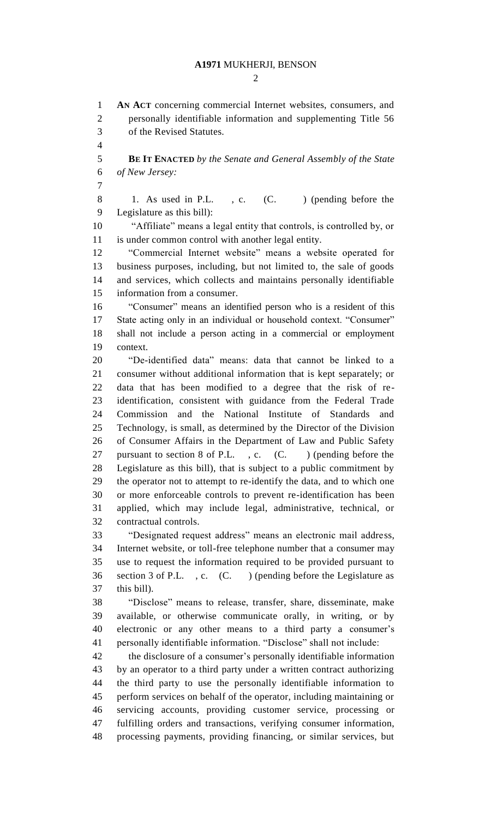$\mathcal{D}_{\mathcal{L}}$ 

 **AN ACT** concerning commercial Internet websites, consumers, and personally identifiable information and supplementing Title 56

 of the Revised Statutes. **BE IT ENACTED** *by the Senate and General Assembly of the State of New Jersey:* 8 1. As used in P.L., c. (C.) (pending before the Legislature as this bill): "Affiliate" means a legal entity that controls, is controlled by, or is under common control with another legal entity. "Commercial Internet website" means a website operated for business purposes, including, but not limited to, the sale of goods and services, which collects and maintains personally identifiable information from a consumer. "Consumer" means an identified person who is a resident of this State acting only in an individual or household context. "Consumer" shall not include a person acting in a commercial or employment context. "De-identified data" means: data that cannot be linked to a consumer without additional information that is kept separately; or data that has been modified to a degree that the risk of re- identification, consistent with guidance from the Federal Trade Commission and the National Institute of Standards and Technology, is small, as determined by the Director of the Division of Consumer Affairs in the Department of Law and Public Safety 27 pursuant to section 8 of P.L., c. (C.) (pending before the Legislature as this bill), that is subject to a public commitment by the operator not to attempt to re-identify the data, and to which one or more enforceable controls to prevent re-identification has been applied, which may include legal, administrative, technical, or contractual controls. "Designated request address" means an electronic mail address, Internet website, or toll-free telephone number that a consumer may use to request the information required to be provided pursuant to section 3 of P.L. , c. (C. ) (pending before the Legislature as this bill). "Disclose" means to release, transfer, share, disseminate, make available, or otherwise communicate orally, in writing, or by electronic or any other means to a third party a consumer's personally identifiable information. "Disclose" shall not include: the disclosure of a consumer's personally identifiable information by an operator to a third party under a written contract authorizing the third party to use the personally identifiable information to perform services on behalf of the operator, including maintaining or servicing accounts, providing customer service, processing or fulfilling orders and transactions, verifying consumer information, processing payments, providing financing, or similar services, but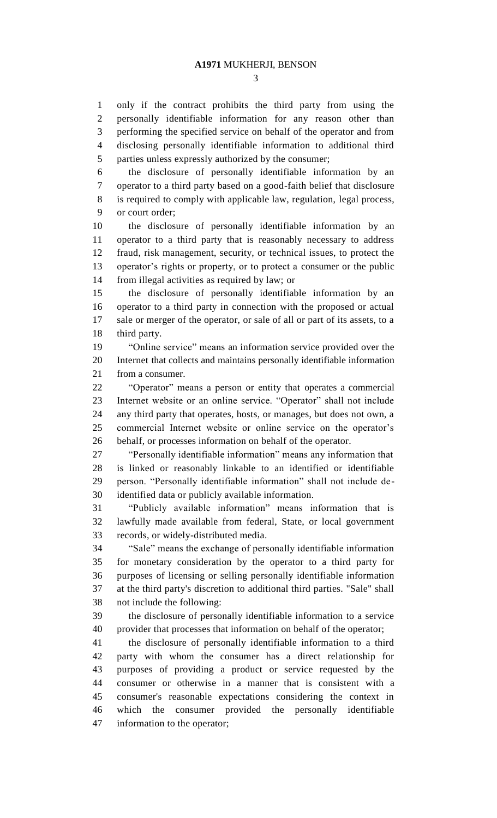only if the contract prohibits the third party from using the personally identifiable information for any reason other than performing the specified service on behalf of the operator and from disclosing personally identifiable information to additional third parties unless expressly authorized by the consumer;

 the disclosure of personally identifiable information by an operator to a third party based on a good-faith belief that disclosure is required to comply with applicable law, regulation, legal process, or court order;

 the disclosure of personally identifiable information by an operator to a third party that is reasonably necessary to address fraud, risk management, security, or technical issues, to protect the operator's rights or property, or to protect a consumer or the public from illegal activities as required by law; or

 the disclosure of personally identifiable information by an operator to a third party in connection with the proposed or actual sale or merger of the operator, or sale of all or part of its assets, to a third party.

 "Online service" means an information service provided over the Internet that collects and maintains personally identifiable information from a consumer.

 "Operator" means a person or entity that operates a commercial Internet website or an online service. "Operator" shall not include any third party that operates, hosts, or manages, but does not own, a commercial Internet website or online service on the operator's behalf, or processes information on behalf of the operator.

 "Personally identifiable information" means any information that is linked or reasonably linkable to an identified or identifiable person. "Personally identifiable information" shall not include de-identified data or publicly available information.

 "Publicly available information" means information that is lawfully made available from federal, State, or local government records, or widely-distributed media.

 "Sale" means the exchange of personally identifiable information for monetary consideration by the operator to a third party for purposes of licensing or selling personally identifiable information at the third party's discretion to additional third parties. "Sale" shall not include the following:

 the disclosure of personally identifiable information to a service provider that processes that information on behalf of the operator;

 the disclosure of personally identifiable information to a third party with whom the consumer has a direct relationship for purposes of providing a product or service requested by the consumer or otherwise in a manner that is consistent with a consumer's reasonable expectations considering the context in which the consumer provided the personally identifiable information to the operator;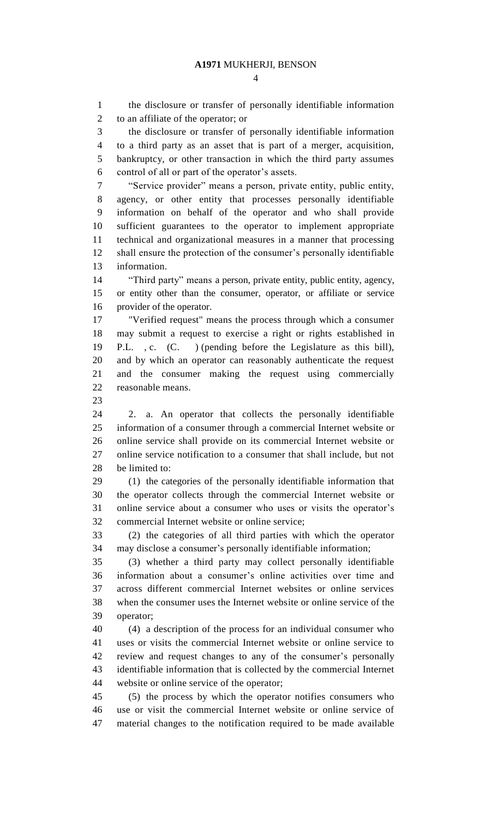the disclosure or transfer of personally identifiable information to an affiliate of the operator; or the disclosure or transfer of personally identifiable information to a third party as an asset that is part of a merger, acquisition, bankruptcy, or other transaction in which the third party assumes control of all or part of the operator's assets. "Service provider" means a person, private entity, public entity, agency, or other entity that processes personally identifiable information on behalf of the operator and who shall provide sufficient guarantees to the operator to implement appropriate technical and organizational measures in a manner that processing shall ensure the protection of the consumer's personally identifiable information. "Third party" means a person, private entity, public entity, agency, or entity other than the consumer, operator, or affiliate or service provider of the operator. "Verified request" means the process through which a consumer may submit a request to exercise a right or rights established in P.L. , c. (C. ) (pending before the Legislature as this bill), and by which an operator can reasonably authenticate the request and the consumer making the request using commercially reasonable means. 2. a. An operator that collects the personally identifiable information of a consumer through a commercial Internet website or online service shall provide on its commercial Internet website or online service notification to a consumer that shall include, but not be limited to: (1) the categories of the personally identifiable information that the operator collects through the commercial Internet website or online service about a consumer who uses or visits the operator's commercial Internet website or online service; (2) the categories of all third parties with which the operator may disclose a consumer's personally identifiable information; (3) whether a third party may collect personally identifiable information about a consumer's online activities over time and across different commercial Internet websites or online services when the consumer uses the Internet website or online service of the operator; (4) a description of the process for an individual consumer who uses or visits the commercial Internet website or online service to review and request changes to any of the consumer's personally identifiable information that is collected by the commercial Internet website or online service of the operator; (5) the process by which the operator notifies consumers who use or visit the commercial Internet website or online service of material changes to the notification required to be made available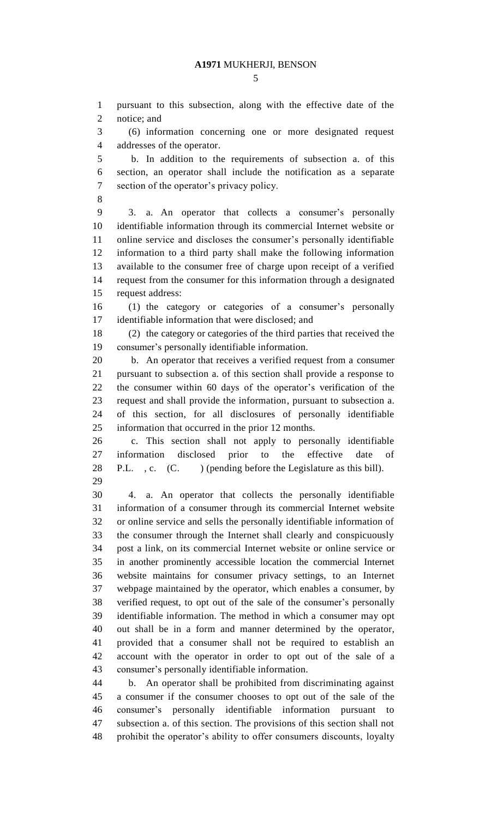notice; and (6) information concerning one or more designated request addresses of the operator. b. In addition to the requirements of subsection a. of this section, an operator shall include the notification as a separate section of the operator's privacy policy.

pursuant to this subsection, along with the effective date of the

 3. a. An operator that collects a consumer's personally identifiable information through its commercial Internet website or online service and discloses the consumer's personally identifiable information to a third party shall make the following information available to the consumer free of charge upon receipt of a verified request from the consumer for this information through a designated request address:

 (1) the category or categories of a consumer's personally identifiable information that were disclosed; and

 (2) the category or categories of the third parties that received the consumer's personally identifiable information.

 b. An operator that receives a verified request from a consumer pursuant to subsection a. of this section shall provide a response to the consumer within 60 days of the operator's verification of the request and shall provide the information, pursuant to subsection a. of this section, for all disclosures of personally identifiable information that occurred in the prior 12 months.

 c. This section shall not apply to personally identifiable information disclosed prior to the effective date of 28 P.L., c. (C. ) (pending before the Legislature as this bill). 

 4. a. An operator that collects the personally identifiable information of a consumer through its commercial Internet website or online service and sells the personally identifiable information of the consumer through the Internet shall clearly and conspicuously post a link, on its commercial Internet website or online service or in another prominently accessible location the commercial Internet website maintains for consumer privacy settings, to an Internet webpage maintained by the operator, which enables a consumer, by verified request, to opt out of the sale of the consumer's personally identifiable information. The method in which a consumer may opt out shall be in a form and manner determined by the operator, provided that a consumer shall not be required to establish an account with the operator in order to opt out of the sale of a consumer's personally identifiable information.

 b. An operator shall be prohibited from discriminating against a consumer if the consumer chooses to opt out of the sale of the consumer's personally identifiable information pursuant to subsection a. of this section. The provisions of this section shall not prohibit the operator's ability to offer consumers discounts, loyalty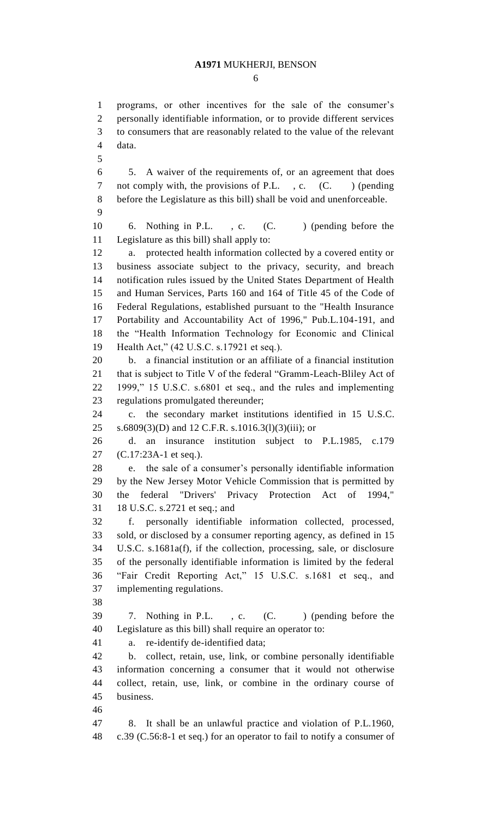programs, or other incentives for the sale of the consumer's personally identifiable information, or to provide different services to consumers that are reasonably related to the value of the relevant

 data. 5. A waiver of the requirements of, or an agreement that does 7 not comply with, the provisions of P.L., c. (C.) (pending before the Legislature as this bill) shall be void and unenforceable. 6. Nothing in P.L. , c. (C. ) (pending before the Legislature as this bill) shall apply to: a. protected health information collected by a covered entity or business associate subject to the privacy, security, and breach notification rules issued by the United States Department of Health and Human Services, Parts 160 and 164 of Title 45 of the Code of Federal Regulations, established pursuant to the "Health Insurance Portability and Accountability Act of 1996," Pub.L.104-191, and the "Health Information Technology for Economic and Clinical Health Act," (42 U.S.C. s.17921 et seq.). b. a financial institution or an affiliate of a financial institution that is subject to Title V of the federal "Gramm-Leach-Bliley Act of 1999," 15 U.S.C. s.6801 et seq., and the rules and implementing regulations promulgated thereunder; c. the secondary market institutions identified in 15 U.S.C. s.6809(3)(D) and 12 C.F.R. s.1016.3(l)(3)(iii); or d. an insurance institution subject to P.L.1985, c.179 (C.17:23A-1 et seq.). e. the sale of a consumer's personally identifiable information by the New Jersey Motor Vehicle Commission that is permitted by the federal "Drivers' Privacy Protection Act of 1994," 18 U.S.C. s.2721 et seq.; and f. personally identifiable information collected, processed, sold, or disclosed by a consumer reporting agency, as defined in 15 U.S.C. s.1681a(f), if the collection, processing, sale, or disclosure of the personally identifiable information is limited by the federal "Fair Credit Reporting Act," 15 U.S.C. s.1681 et seq., and implementing regulations. 7. Nothing in P.L. , c. (C. ) (pending before the Legislature as this bill) shall require an operator to: a. re-identify de-identified data; b. collect, retain, use, link, or combine personally identifiable information concerning a consumer that it would not otherwise collect, retain, use, link, or combine in the ordinary course of business.

 8. It shall be an unlawful practice and violation of P.L.1960, c.39 (C.56:8-1 et seq.) for an operator to fail to notify a consumer of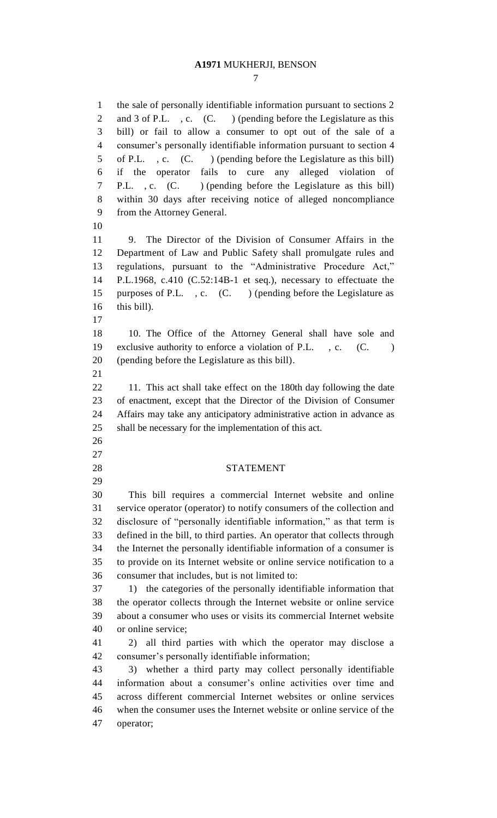the sale of personally identifiable information pursuant to sections 2 2 and 3 of P.L. , c. (C. ) (pending before the Legislature as this bill) or fail to allow a consumer to opt out of the sale of a consumer's personally identifiable information pursuant to section 4 of P.L. , c. (C. ) (pending before the Legislature as this bill) if the operator fails to cure any alleged violation of P.L. , c. (C. ) (pending before the Legislature as this bill) within 30 days after receiving notice of alleged noncompliance from the Attorney General. 9. The Director of the Division of Consumer Affairs in the Department of Law and Public Safety shall promulgate rules and regulations, pursuant to the "Administrative Procedure Act," P.L.1968, c.410 (C.52:14B-1 et seq.), necessary to effectuate the 15 purposes of P.L., c. (C.) (pending before the Legislature as this bill). 10. The Office of the Attorney General shall have sole and 19 exclusive authority to enforce a violation of P.L., c. (C.) (pending before the Legislature as this bill). 22 11. This act shall take effect on the 180th day following the date of enactment, except that the Director of the Division of Consumer Affairs may take any anticipatory administrative action in advance as shall be necessary for the implementation of this act. STATEMENT This bill requires a commercial Internet website and online service operator (operator) to notify consumers of the collection and disclosure of "personally identifiable information," as that term is defined in the bill, to third parties. An operator that collects through the Internet the personally identifiable information of a consumer is to provide on its Internet website or online service notification to a consumer that includes, but is not limited to: 1) the categories of the personally identifiable information that the operator collects through the Internet website or online service about a consumer who uses or visits its commercial Internet website or online service; 2) all third parties with which the operator may disclose a consumer's personally identifiable information; 3) whether a third party may collect personally identifiable information about a consumer's online activities over time and across different commercial Internet websites or online services when the consumer uses the Internet website or online service of the operator;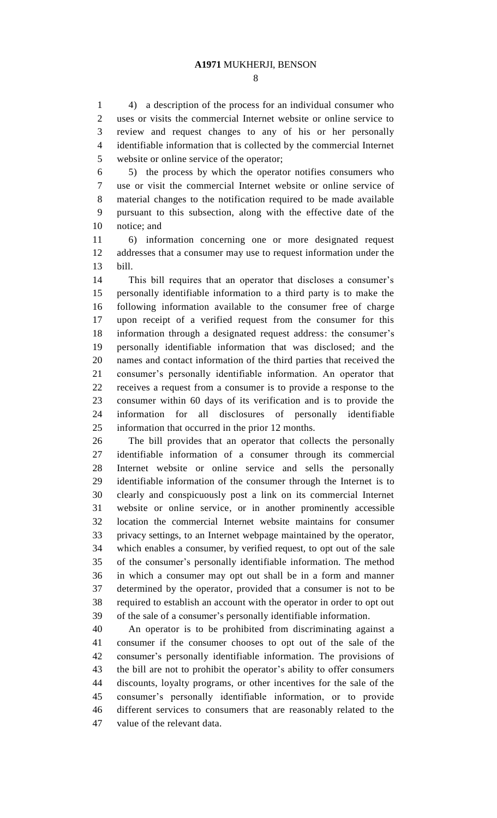4) a description of the process for an individual consumer who uses or visits the commercial Internet website or online service to review and request changes to any of his or her personally identifiable information that is collected by the commercial Internet website or online service of the operator;

 5) the process by which the operator notifies consumers who use or visit the commercial Internet website or online service of material changes to the notification required to be made available pursuant to this subsection, along with the effective date of the notice; and

 6) information concerning one or more designated request addresses that a consumer may use to request information under the bill.

 This bill requires that an operator that discloses a consumer's personally identifiable information to a third party is to make the following information available to the consumer free of charge upon receipt of a verified request from the consumer for this information through a designated request address: the consumer's personally identifiable information that was disclosed; and the names and contact information of the third parties that received the consumer's personally identifiable information. An operator that receives a request from a consumer is to provide a response to the consumer within 60 days of its verification and is to provide the information for all disclosures of personally identifiable information that occurred in the prior 12 months.

 The bill provides that an operator that collects the personally identifiable information of a consumer through its commercial Internet website or online service and sells the personally identifiable information of the consumer through the Internet is to clearly and conspicuously post a link on its commercial Internet website or online service, or in another prominently accessible location the commercial Internet website maintains for consumer privacy settings, to an Internet webpage maintained by the operator, which enables a consumer, by verified request, to opt out of the sale of the consumer's personally identifiable information. The method in which a consumer may opt out shall be in a form and manner determined by the operator, provided that a consumer is not to be required to establish an account with the operator in order to opt out of the sale of a consumer's personally identifiable information.

 An operator is to be prohibited from discriminating against a consumer if the consumer chooses to opt out of the sale of the consumer's personally identifiable information. The provisions of the bill are not to prohibit the operator's ability to offer consumers discounts, loyalty programs, or other incentives for the sale of the consumer's personally identifiable information, or to provide different services to consumers that are reasonably related to the value of the relevant data.